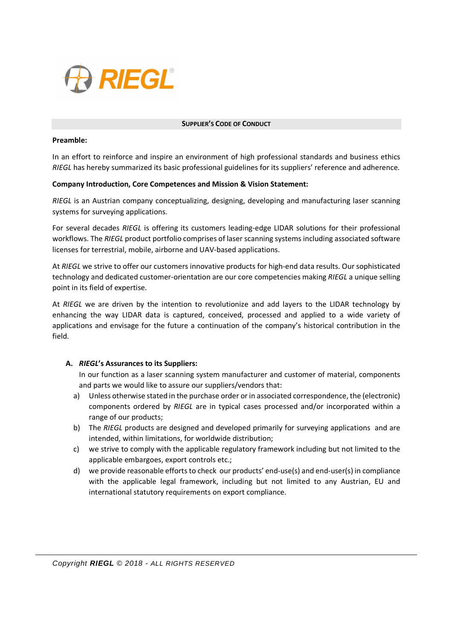

#### **SUPPLIER'S CODE OF CONDUCT**

### **Preamble:**

In an effort to reinforce and inspire an environment of high professional standards and business ethics *RIEGL* has hereby summarized its basic professional guidelines for its suppliers' reference and adherence.

## **Company Introduction, Core Competences and Mission & Vision Statement:**

*RIEGL* is an Austrian company conceptualizing, designing, developing and manufacturing laser scanning systems for surveying applications.

For several decades *RIEGL* is offering its customers leading-edge LIDAR solutions for their professional workflows. The *RIEGL* product portfolio comprises of laser scanning systems including associated software licenses for terrestrial, mobile, airborne and UAV-based applications.

At *RIEGL* we strive to offer our customers innovative products for high-end data results. Our sophisticated technology and dedicated customer-orientation are our core competencies making *RIEGL* a unique selling point in its field of expertise.

At *RIEGL* we are driven by the intention to revolutionize and add layers to the LIDAR technology by enhancing the way LIDAR data is captured, conceived, processed and applied to a wide variety of applications and envisage for the future a continuation of the company's historical contribution in the field.

## **A.** *RIEGL***'s Assurances to its Suppliers:**

In our function as a laser scanning system manufacturer and customer of material, components and parts we would like to assure our suppliers/vendors that:

- a) Unless otherwise stated in the purchase order or in associated correspondence, the (electronic) components ordered by *RIEGL* are in typical cases processed and/or incorporated within a range of our products;
- b) The *RIEGL* products are designed and developed primarily for surveying applications and are intended, within limitations, for worldwide distribution;
- c) we strive to comply with the applicable regulatory framework including but not limited to the applicable embargoes, export controls etc.;
- d) we provide reasonable efforts to check our products' end-use(s) and end-user(s) in compliance with the applicable legal framework, including but not limited to any Austrian, EU and international statutory requirements on export compliance.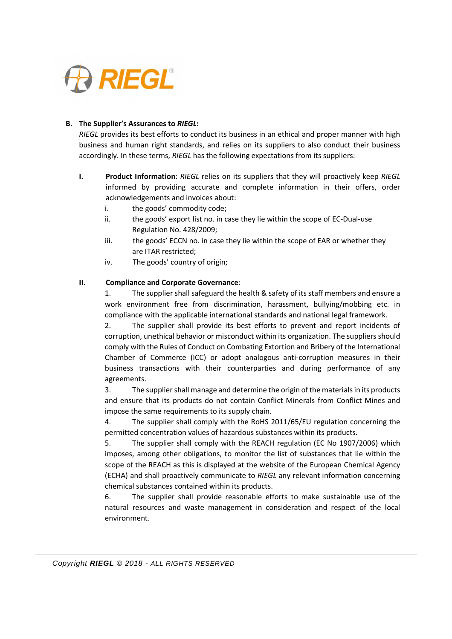

# **B. The Supplier's Assurances to** *RIEGL***:**

*RIEGL* provides its best efforts to conduct its business in an ethical and proper manner with high business and human right standards, and relies on its suppliers to also conduct their business accordingly. In these terms, *RIEGL* has the following expectations from its suppliers:

- **I. Product Information**: *RIEGL* relies on its suppliers that they will proactively keep *RIEGL* informed by providing accurate and complete information in their offers, order acknowledgements and invoices about:
	- i. the goods' commodity code;
	- ii. the goods' export list no. in case they lie within the scope of EC-Dual-use Regulation No. 428/2009;
	- iii. the goods' ECCN no. in case they lie within the scope of EAR or whether they are ITAR restricted;
	- iv. The goods' country of origin;

# **II. Compliance and Corporate Governance**:

1. The supplier shall safeguard the health & safety of its staff members and ensure a work environment free from discrimination, harassment, bullying/mobbing etc. in compliance with the applicable international standards and national legal framework.

2. The supplier shall provide its best efforts to prevent and report incidents of corruption, unethical behavior or misconduct within its organization. The suppliers should comply with the Rules of Conduct on Combating Extortion and Bribery of the International Chamber of Commerce (ICC) or adopt analogous anti-corruption measures in their business transactions with their counterparties and during performance of any agreements.

3. The supplier shall manage and determine the origin of the materials in its products and ensure that its products do not contain Conflict Minerals from Conflict Mines and impose the same requirements to its supply chain.

4. The supplier shall comply with the RoHS 2011/65/EU regulation concerning the permitted concentration values of hazardous substances within its products.

5. The supplier shall comply with the REACH regulation (EC No 1907/2006) which imposes, among other obligations, to monitor the list of substances that lie within the scope of the REACH as this is displayed at the website of the European Chemical Agency (ECHA) and shall proactively communicate to *RIEGL* any relevant information concerning chemical substances contained within its products.

6. The supplier shall provide reasonable efforts to make sustainable use of the natural resources and waste management in consideration and respect of the local environment.